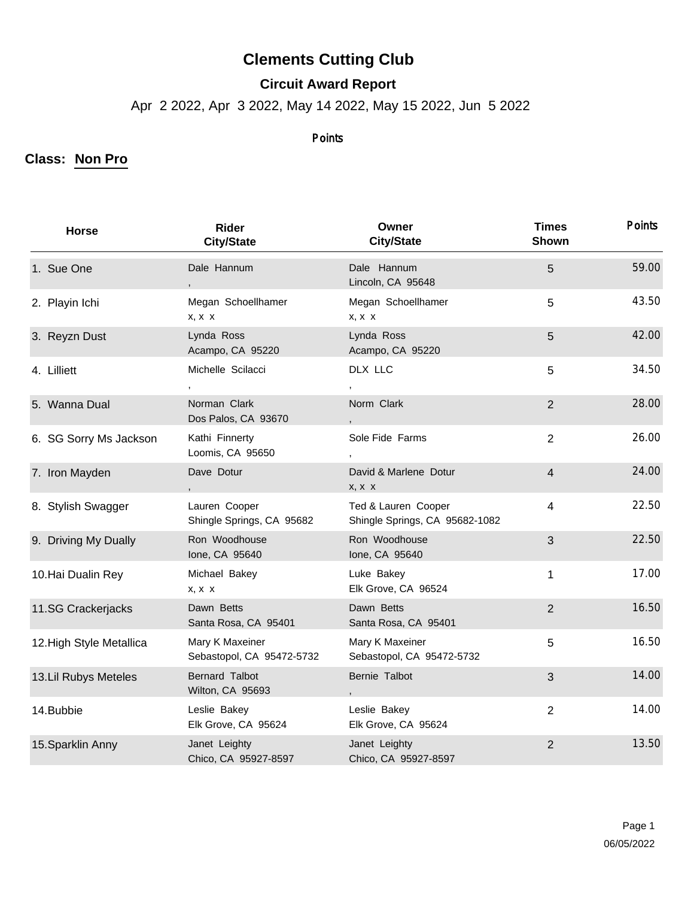## **Clements Cutting Club**

## **Circuit Award Report**

Apr 2 2022, Apr 3 2022, May 14 2022, May 15 2022, Jun 5 2022

## Points

## **Class: Non Pro**

| Horse                    | <b>Rider</b><br><b>City/State</b>            | Owner<br><b>City/State</b>                            | <b>Times</b><br>Shown   | <b>Points</b> |
|--------------------------|----------------------------------------------|-------------------------------------------------------|-------------------------|---------------|
| 1. Sue One               | Dale Hannum                                  | Dale Hannum<br>Lincoln, CA 95648                      | 5                       | 59.00         |
| 2. Playin Ichi           | Megan Schoellhamer<br>x, x x                 | Megan Schoellhamer<br>x, x x                          | 5                       | 43.50         |
| 3. Reyzn Dust            | Lynda Ross<br>Acampo, CA 95220               | Lynda Ross<br>Acampo, CA 95220                        | 5                       | 42.00         |
| 4. Lilliett              | Michelle Scilacci                            | DLX LLC                                               | 5                       | 34.50         |
| 5. Wanna Dual            | Norman Clark<br>Dos Palos, CA 93670          | Norm Clark                                            | $\overline{2}$          | 28.00         |
| 6. SG Sorry Ms Jackson   | Kathi Finnerty<br>Loomis, CA 95650           | Sole Fide Farms                                       | $\overline{2}$          | 26.00         |
| 7. Iron Mayden           | Dave Dotur                                   | David & Marlene Dotur<br>$X, X \ X$                   | $\overline{\mathbf{4}}$ | 24.00         |
| 8. Stylish Swagger       | Lauren Cooper<br>Shingle Springs, CA 95682   | Ted & Lauren Cooper<br>Shingle Springs, CA 95682-1082 | 4                       | 22.50         |
| 9. Driving My Dually     | Ron Woodhouse<br>Ione, CA 95640              | Ron Woodhouse<br>lone, CA 95640                       | 3                       | 22.50         |
| 10. Hai Dualin Rey       | Michael Bakey<br>x, x x                      | Luke Bakey<br>Elk Grove, CA 96524                     | $\mathbf{1}$            | 17.00         |
| 11.SG Crackerjacks       | Dawn Betts<br>Santa Rosa, CA 95401           | Dawn Betts<br>Santa Rosa, CA 95401                    | $\overline{2}$          | 16.50         |
| 12. High Style Metallica | Mary K Maxeiner<br>Sebastopol, CA 95472-5732 | Mary K Maxeiner<br>Sebastopol, CA 95472-5732          | 5                       | 16.50         |
| 13. Lil Rubys Meteles    | Bernard Talbot<br>Wilton, CA 95693           | Bernie Talbot                                         | 3                       | 14.00         |
| 14. Bubbie               | Leslie Bakey<br>Elk Grove, CA 95624          | Leslie Bakey<br>Elk Grove, CA 95624                   | $\overline{2}$          | 14.00         |
| 15. Sparklin Anny        | Janet Leighty<br>Chico, CA 95927-8597        | Janet Leighty<br>Chico, CA 95927-8597                 | $\overline{2}$          | 13.50         |